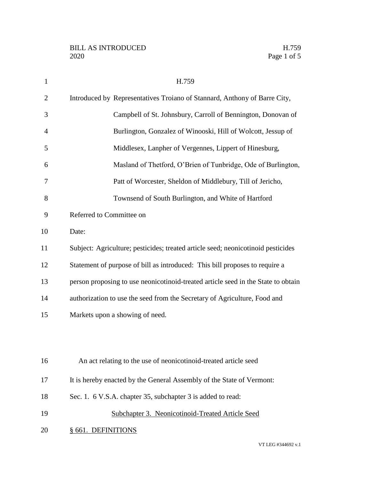| $\mathbf{1}$   | H.759                                                                             |
|----------------|-----------------------------------------------------------------------------------|
| $\overline{2}$ | Introduced by Representatives Troiano of Stannard, Anthony of Barre City,         |
| 3              | Campbell of St. Johnsbury, Carroll of Bennington, Donovan of                      |
| 4              | Burlington, Gonzalez of Winooski, Hill of Wolcott, Jessup of                      |
| 5              | Middlesex, Lanpher of Vergennes, Lippert of Hinesburg,                            |
| 6              | Masland of Thetford, O'Brien of Tunbridge, Ode of Burlington,                     |
| 7              | Patt of Worcester, Sheldon of Middlebury, Till of Jericho,                        |
| 8              | Townsend of South Burlington, and White of Hartford                               |
| 9              | Referred to Committee on                                                          |
| 10             | Date:                                                                             |
| 11             | Subject: Agriculture; pesticides; treated article seed; neonicotinoid pesticides  |
| 12             | Statement of purpose of bill as introduced: This bill proposes to require a       |
| 13             | person proposing to use neonicotinoid-treated article seed in the State to obtain |
| 14             | authorization to use the seed from the Secretary of Agriculture, Food and         |
| 15             | Markets upon a showing of need.                                                   |
|                |                                                                                   |
|                |                                                                                   |
| 16             | An act relating to the use of neonicotinoid-treated article seed                  |
| 17             | It is hereby enacted by the General Assembly of the State of Vermont:             |
| 18             | Sec. 1. 6 V.S.A. chapter 35, subchapter 3 is added to read:                       |
| 19             | Subchapter 3. Neonicotinoid-Treated Article Seed                                  |
| 20             | § 661.<br><b>DEFINITIONS</b>                                                      |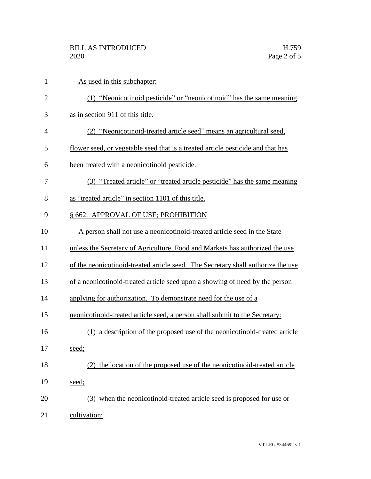| $\mathbf{1}$   | As used in this subchapter:                                                      |
|----------------|----------------------------------------------------------------------------------|
| $\overline{2}$ | (1) "Neonicotinoid pesticide" or "neonicotinoid" has the same meaning            |
| 3              | as in section 911 of this title.                                                 |
| $\overline{4}$ | (2) "Neonicotinoid-treated article seed" means an agricultural seed,             |
| 5              | flower seed, or vegetable seed that is a treated article pesticide and that has  |
| 6              | been treated with a neonicotinoid pesticide.                                     |
| 7              | (3) "Treated article" or "treated article pesticide" has the same meaning        |
| 8              | as "treated article" in section 1101 of this title.                              |
| 9              | § 662. APPROVAL OF USE; PROHIBITION                                              |
| 10             | A person shall not use a neonicotinoid-treated article seed in the State         |
| 11             | unless the Secretary of Agriculture, Food and Markets has authorized the use     |
| 12             | of the neonicotinoid-treated article seed. The Secretary shall authorize the use |
| 13             | of a neonicotinoid-treated article seed upon a showing of need by the person     |
| 14             | applying for authorization. To demonstrate need for the use of a                 |
| 15             | neonicotinoid-treated article seed, a person shall submit to the Secretary:      |
| 16             | (1) a description of the proposed use of the neonicotinoid-treated article       |
| 17             | <u>seed;</u>                                                                     |
| 18             | the location of the proposed use of the neonicotinoid-treated article<br>(2)     |
| 19             | seed;                                                                            |
| 20             | (3) when the neonicotinoid-treated article seed is proposed for use or           |
| 21             | cultivation;                                                                     |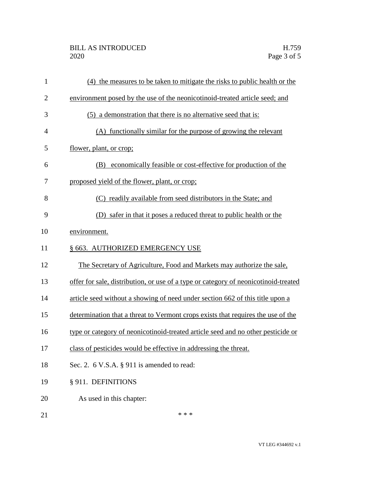| $\mathbf{1}$   | (4) the measures to be taken to mitigate the risks to public health or the          |
|----------------|-------------------------------------------------------------------------------------|
| $\mathbf{2}$   | environment posed by the use of the neonicotinoid-treated article seed; and         |
| 3              | (5) a demonstration that there is no alternative seed that is:                      |
| $\overline{4}$ | (A) functionally similar for the purpose of growing the relevant                    |
| 5              | flower, plant, or crop;                                                             |
| 6              | (B) economically feasible or cost-effective for production of the                   |
| 7              | proposed yield of the flower, plant, or crop;                                       |
| 8              | (C) readily available from seed distributors in the State; and                      |
| 9              | (D) safer in that it poses a reduced threat to public health or the                 |
| 10             | environment.                                                                        |
| 11             | § 663. AUTHORIZED EMERGENCY USE                                                     |
| 12             | The Secretary of Agriculture, Food and Markets may authorize the sale,              |
| 13             | offer for sale, distribution, or use of a type or category of neonicotinoid-treated |
| 14             | article seed without a showing of need under section 662 of this title upon a       |
| 15             | determination that a threat to Vermont crops exists that requires the use of the    |
| 16             | type or category of neonicotinoid-treated article seed and no other pesticide or    |
| 17             | class of pesticides would be effective in addressing the threat.                    |
| 18             | Sec. 2. $6$ V.S.A. $\S$ 911 is amended to read:                                     |
| 19             | § 911. DEFINITIONS                                                                  |
| 20             | As used in this chapter:                                                            |
| 21             | * * *                                                                               |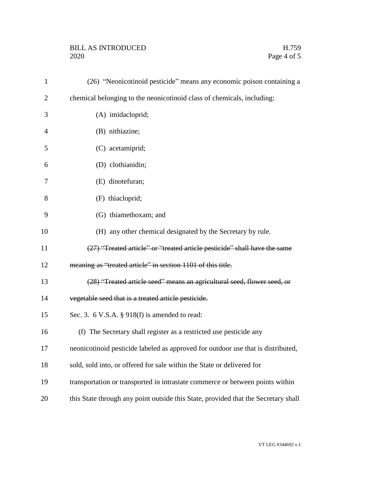## BILL AS INTRODUCED H.759<br>2020 Page 4 of 5

| $\mathbf{1}$   | (26) "Neonicotinoid pesticide" means any economic poison containing a              |
|----------------|------------------------------------------------------------------------------------|
| $\overline{2}$ | chemical belonging to the neonicotinoid class of chemicals, including:             |
| 3              | (A) imidacloprid;                                                                  |
| $\overline{4}$ | (B) nithiazine;                                                                    |
| 5              | (C) acetamiprid;                                                                   |
| 6              | (D) clothianidin;                                                                  |
| 7              | (E) dinotefuran;                                                                   |
| 8              | (F) thiacloprid;                                                                   |
| 9              | (G) thiamethoxam; and                                                              |
| 10             | (H) any other chemical designated by the Secretary by rule.                        |
| 11             | (27) "Treated article" or "treated article pesticide" shall have the same          |
| 12             | meaning as "treated article" in section 1101 of this title.                        |
| 13             | (28) "Treated article seed" means an agricultural seed, flower seed, or            |
| 14             | vegetable seed that is a treated article pesticide.                                |
| 15             | Sec. 3. 6 V.S.A. $\S$ 918(f) is amended to read:                                   |
| 16             | (f) The Secretary shall register as a restricted use pesticide any                 |
| 17             | neonicotinoid pesticide labeled as approved for outdoor use that is distributed,   |
| 18             | sold, sold into, or offered for sale within the State or delivered for             |
| 19             | transportation or transported in intrastate commerce or between points within      |
| 20             | this State through any point outside this State, provided that the Secretary shall |